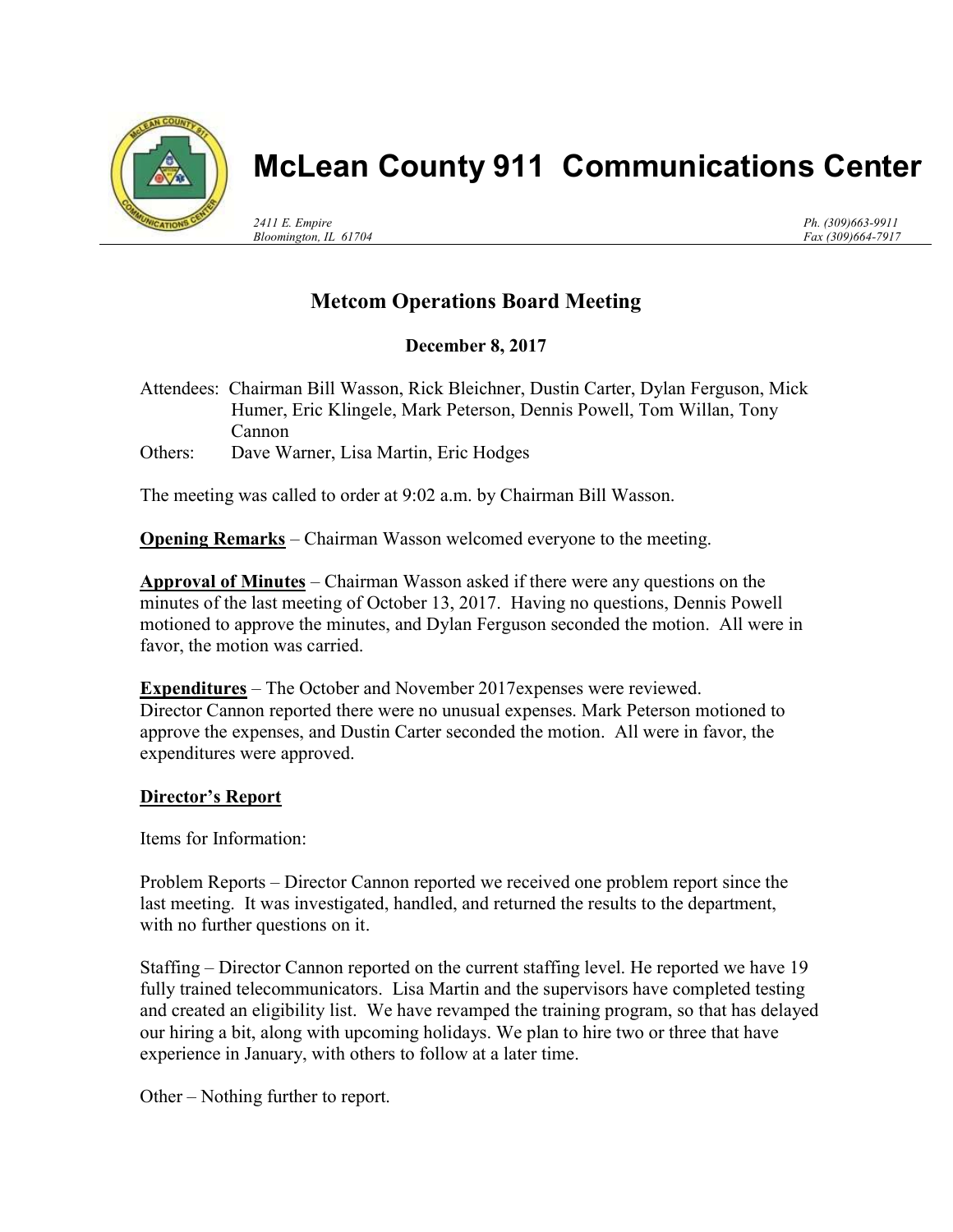

## McLean County 911 Communications Center

2411 E. Empire Bloomington, IL 61704 Ph. (309)663-9911 Fax (309)664-7917

## Metcom Operations Board Meeting

December 8, 2017

Attendees: Chairman Bill Wasson, Rick Bleichner, Dustin Carter, Dylan Ferguson, Mick Humer, Eric Klingele, Mark Peterson, Dennis Powell, Tom Willan, Tony Cannon Others: Dave Warner, Lisa Martin, Eric Hodges

The meeting was called to order at 9:02 a.m. by Chairman Bill Wasson.

**Opening Remarks** – Chairman Wasson welcomed everyone to the meeting.

Approval of Minutes – Chairman Wasson asked if there were any questions on the minutes of the last meeting of October 13, 2017. Having no questions, Dennis Powell motioned to approve the minutes, and Dylan Ferguson seconded the motion. All were in favor, the motion was carried.

Expenditures – The October and November 2017expenses were reviewed. Director Cannon reported there were no unusual expenses. Mark Peterson motioned to approve the expenses, and Dustin Carter seconded the motion. All were in favor, the expenditures were approved.

## Director's Report

Items for Information:

Problem Reports – Director Cannon reported we received one problem report since the last meeting. It was investigated, handled, and returned the results to the department, with no further questions on it.

Staffing – Director Cannon reported on the current staffing level. He reported we have 19 fully trained telecommunicators. Lisa Martin and the supervisors have completed testing and created an eligibility list. We have revamped the training program, so that has delayed our hiring a bit, along with upcoming holidays. We plan to hire two or three that have experience in January, with others to follow at a later time.

Other – Nothing further to report.